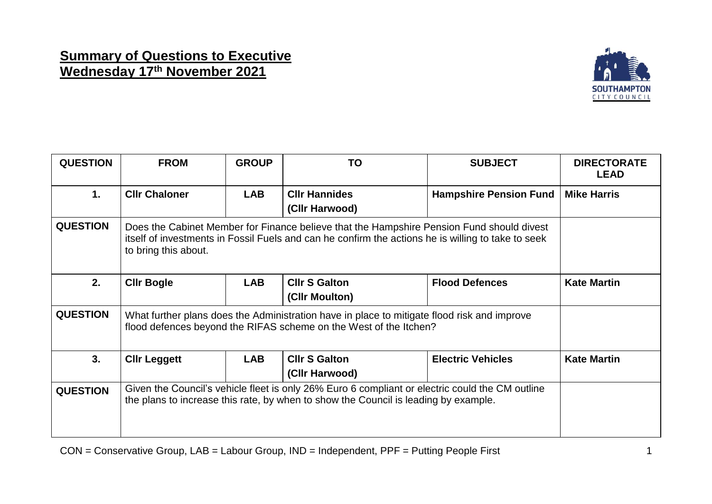## **Summary of Questions to Executive Wednesday 17th November 2021**



| <b>QUESTION</b> | <b>FROM</b>                                                                                                                                                                                                             | <b>GROUP</b> | TO                                     | <b>SUBJECT</b>                | <b>DIRECTORATE</b><br><b>LEAD</b> |  |
|-----------------|-------------------------------------------------------------------------------------------------------------------------------------------------------------------------------------------------------------------------|--------------|----------------------------------------|-------------------------------|-----------------------------------|--|
| 1.              | <b>CIIr Chaloner</b>                                                                                                                                                                                                    | <b>LAB</b>   | <b>CIIr Hannides</b><br>(CIIr Harwood) | <b>Hampshire Pension Fund</b> | <b>Mike Harris</b>                |  |
| <b>QUESTION</b> | Does the Cabinet Member for Finance believe that the Hampshire Pension Fund should divest<br>itself of investments in Fossil Fuels and can he confirm the actions he is willing to take to seek<br>to bring this about. |              |                                        |                               |                                   |  |
| 2.              | <b>CIIr Bogle</b>                                                                                                                                                                                                       | <b>LAB</b>   | <b>CIIr S Galton</b><br>(Cllr Moulton) | <b>Flood Defences</b>         | <b>Kate Martin</b>                |  |
| <b>QUESTION</b> | What further plans does the Administration have in place to mitigate flood risk and improve<br>flood defences beyond the RIFAS scheme on the West of the Itchen?                                                        |              |                                        |                               |                                   |  |
| 3.              | <b>CIIr Leggett</b>                                                                                                                                                                                                     | <b>LAB</b>   | <b>CIIr S Galton</b><br>(CIIr Harwood) | <b>Electric Vehicles</b>      | <b>Kate Martin</b>                |  |
| <b>QUESTION</b> | Given the Council's vehicle fleet is only 26% Euro 6 compliant or electric could the CM outline<br>the plans to increase this rate, by when to show the Council is leading by example.                                  |              |                                        |                               |                                   |  |

CON = Conservative Group, LAB = Labour Group, IND = Independent, PPF = Putting People First 1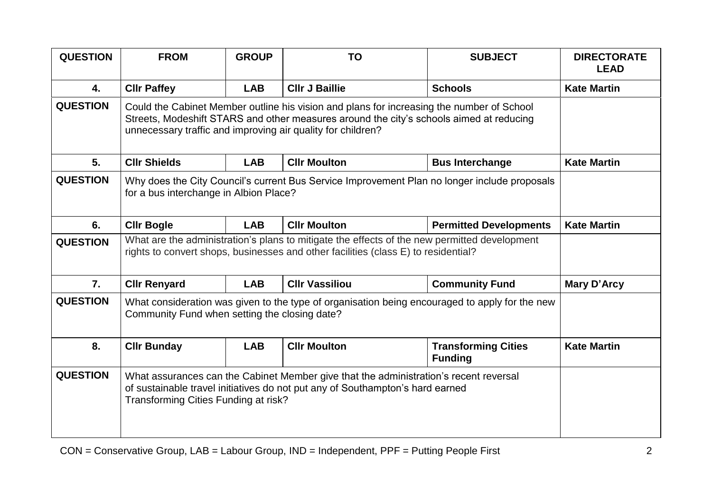| <b>QUESTION</b>  | <b>FROM</b>                                                                                                                                                                                                                                         | <b>GROUP</b> | <b>TO</b>             | <b>SUBJECT</b>                               | <b>DIRECTORATE</b><br><b>LEAD</b> |  |
|------------------|-----------------------------------------------------------------------------------------------------------------------------------------------------------------------------------------------------------------------------------------------------|--------------|-----------------------|----------------------------------------------|-----------------------------------|--|
| 4.               | <b>CIIr Paffey</b>                                                                                                                                                                                                                                  | <b>LAB</b>   | <b>CIIr J Baillie</b> | <b>Schools</b>                               | <b>Kate Martin</b>                |  |
| <b>QUESTION</b>  | Could the Cabinet Member outline his vision and plans for increasing the number of School<br>Streets, Modeshift STARS and other measures around the city's schools aimed at reducing<br>unnecessary traffic and improving air quality for children? |              |                       |                                              |                                   |  |
| 5.               | <b>CIIr Shields</b>                                                                                                                                                                                                                                 | <b>LAB</b>   | <b>CIIr Moulton</b>   | <b>Bus Interchange</b>                       | <b>Kate Martin</b>                |  |
| <b>QUESTION</b>  | Why does the City Council's current Bus Service Improvement Plan no longer include proposals<br>for a bus interchange in Albion Place?                                                                                                              |              |                       |                                              |                                   |  |
| 6.               | <b>Cllr Bogle</b>                                                                                                                                                                                                                                   | <b>LAB</b>   | <b>Cllr Moulton</b>   | <b>Permitted Developments</b>                | <b>Kate Martin</b>                |  |
| <b>QUESTION</b>  | What are the administration's plans to mitigate the effects of the new permitted development<br>rights to convert shops, businesses and other facilities (class E) to residential?                                                                  |              |                       |                                              |                                   |  |
| $\overline{7}$ . | <b>CIIr Renyard</b>                                                                                                                                                                                                                                 | <b>LAB</b>   | <b>Cllr Vassiliou</b> | <b>Community Fund</b>                        | Mary D'Arcy                       |  |
| <b>QUESTION</b>  | What consideration was given to the type of organisation being encouraged to apply for the new<br>Community Fund when setting the closing date?                                                                                                     |              |                       |                                              |                                   |  |
| 8.               | <b>Cllr Bunday</b>                                                                                                                                                                                                                                  | <b>LAB</b>   | <b>Cllr Moulton</b>   | <b>Transforming Cities</b><br><b>Funding</b> | <b>Kate Martin</b>                |  |
| <b>QUESTION</b>  | What assurances can the Cabinet Member give that the administration's recent reversal<br>of sustainable travel initiatives do not put any of Southampton's hard earned<br>Transforming Cities Funding at risk?                                      |              |                       |                                              |                                   |  |